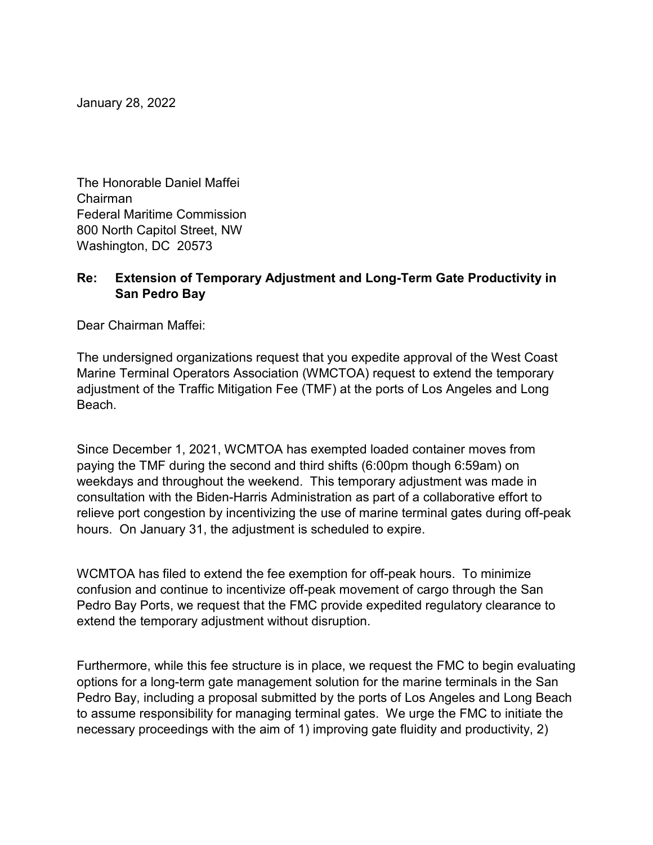January 28, 2022

The Honorable Daniel Maffei Chairman Federal Maritime Commission 800 North Capitol Street, NW Washington, DC 20573

## **Re: Extension of Temporary Adjustment and Long-Term Gate Productivity in San Pedro Bay**

Dear Chairman Maffei:

The undersigned organizations request that you expedite approval of the West Coast Marine Terminal Operators Association (WMCTOA) request to extend the temporary adjustment of the Traffic Mitigation Fee (TMF) at the ports of Los Angeles and Long Beach.

Since December 1, 2021, WCMTOA has exempted loaded container moves from paying the TMF during the second and third shifts (6:00pm though 6:59am) on weekdays and throughout the weekend. This temporary adjustment was made in consultation with the Biden-Harris Administration as part of a collaborative effort to relieve port congestion by incentivizing the use of marine terminal gates during off-peak hours. On January 31, the adjustment is scheduled to expire.

WCMTOA has filed to extend the fee exemption for off-peak hours. To minimize confusion and continue to incentivize off-peak movement of cargo through the San Pedro Bay Ports, we request that the FMC provide expedited regulatory clearance to extend the temporary adjustment without disruption.

Furthermore, while this fee structure is in place, we request the FMC to begin evaluating options for a long-term gate management solution for the marine terminals in the San Pedro Bay, including a proposal submitted by the ports of Los Angeles and Long Beach to assume responsibility for managing terminal gates. We urge the FMC to initiate the necessary proceedings with the aim of 1) improving gate fluidity and productivity, 2)